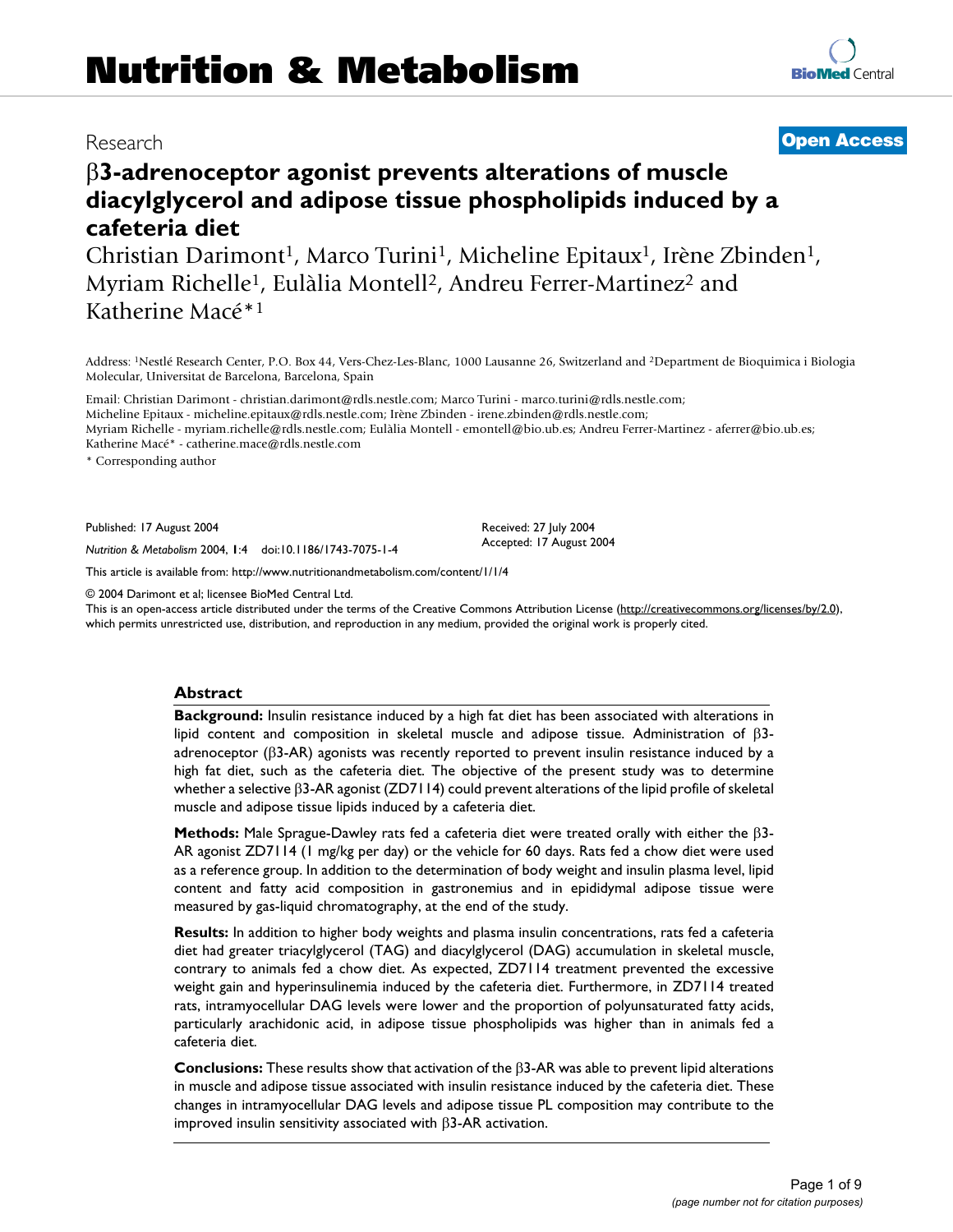# β**3-adrenoceptor agonist prevents alterations of muscle diacylglycerol and adipose tissue phospholipids induced by a cafeteria diet**

Christian Darimont<sup>1</sup>, Marco Turini<sup>1</sup>, Micheline Epitaux<sup>1</sup>, Irène Zbinden<sup>1</sup>, Myriam Richelle<sup>1</sup>, Eulàlia Montell<sup>2</sup>, Andreu Ferrer-Martinez<sup>2</sup> and Katherine Macé\*1

Address: 1Nestlé Research Center, P.O. Box 44, Vers-Chez-Les-Blanc, 1000 Lausanne 26, Switzerland and 2Department de Bioquimica i Biologia Molecular, Universitat de Barcelona, Barcelona, Spain

Email: Christian Darimont - christian.darimont@rdls.nestle.com; Marco Turini - marco.turini@rdls.nestle.com; Micheline Epitaux - micheline.epitaux@rdls.nestle.com; Irène Zbinden - irene.zbinden@rdls.nestle.com; Myriam Richelle - myriam.richelle@rdls.nestle.com; Eulàlia Montell - emontell@bio.ub.es; Andreu Ferrer-Martinez - aferrer@bio.ub.es; Katherine Macé\* - catherine.mace@rdls.nestle.com

\* Corresponding author

Published: 17 August 2004

*Nutrition & Metabolism* 2004, **1**:4 doi:10.1186/1743-7075-1-4

[This article is available from: http://www.nutritionandmetabolism.com/content/1/1/4](http://www.nutritionandmetabolism.com/content/1/1/4)

© 2004 Darimont et al; licensee BioMed Central Ltd.

This is an open-access article distributed under the terms of the Creative Commons Attribution License (<http://creativecommons.org/licenses/by/2.0>), which permits unrestricted use, distribution, and reproduction in any medium, provided the original work is properly cited.

### **Abstract**

**Background:** Insulin resistance induced by a high fat diet has been associated with alterations in lipid content and composition in skeletal muscle and adipose tissue. Administration of  $β3$ adrenoceptor ( $β$ 3-AR) agonists was recently reported to prevent insulin resistance induced by a high fat diet, such as the cafeteria diet. The objective of the present study was to determine whether a selective β3-AR agonist (ZD7114) could prevent alterations of the lipid profile of skeletal muscle and adipose tissue lipids induced by a cafeteria diet.

**Methods:** Male Sprague-Dawley rats fed a cafeteria diet were treated orally with either the β3- AR agonist ZD7114 (1 mg/kg per day) or the vehicle for 60 days. Rats fed a chow diet were used as a reference group. In addition to the determination of body weight and insulin plasma level, lipid content and fatty acid composition in gastronemius and in epididymal adipose tissue were measured by gas-liquid chromatography, at the end of the study.

**Results:** In addition to higher body weights and plasma insulin concentrations, rats fed a cafeteria diet had greater triacylglycerol (TAG) and diacylglycerol (DAG) accumulation in skeletal muscle, contrary to animals fed a chow diet. As expected, ZD7114 treatment prevented the excessive weight gain and hyperinsulinemia induced by the cafeteria diet. Furthermore, in ZD7114 treated rats, intramyocellular DAG levels were lower and the proportion of polyunsaturated fatty acids, particularly arachidonic acid, in adipose tissue phospholipids was higher than in animals fed a cafeteria diet.

**Conclusions:** These results show that activation of the β3-AR was able to prevent lipid alterations in muscle and adipose tissue associated with insulin resistance induced by the cafeteria diet. These changes in intramyocellular DAG levels and adipose tissue PL composition may contribute to the improved insulin sensitivity associated with β3-AR activation.

## Research **[Open Access](http://www.biomedcentral.com/info/about/charter/)**

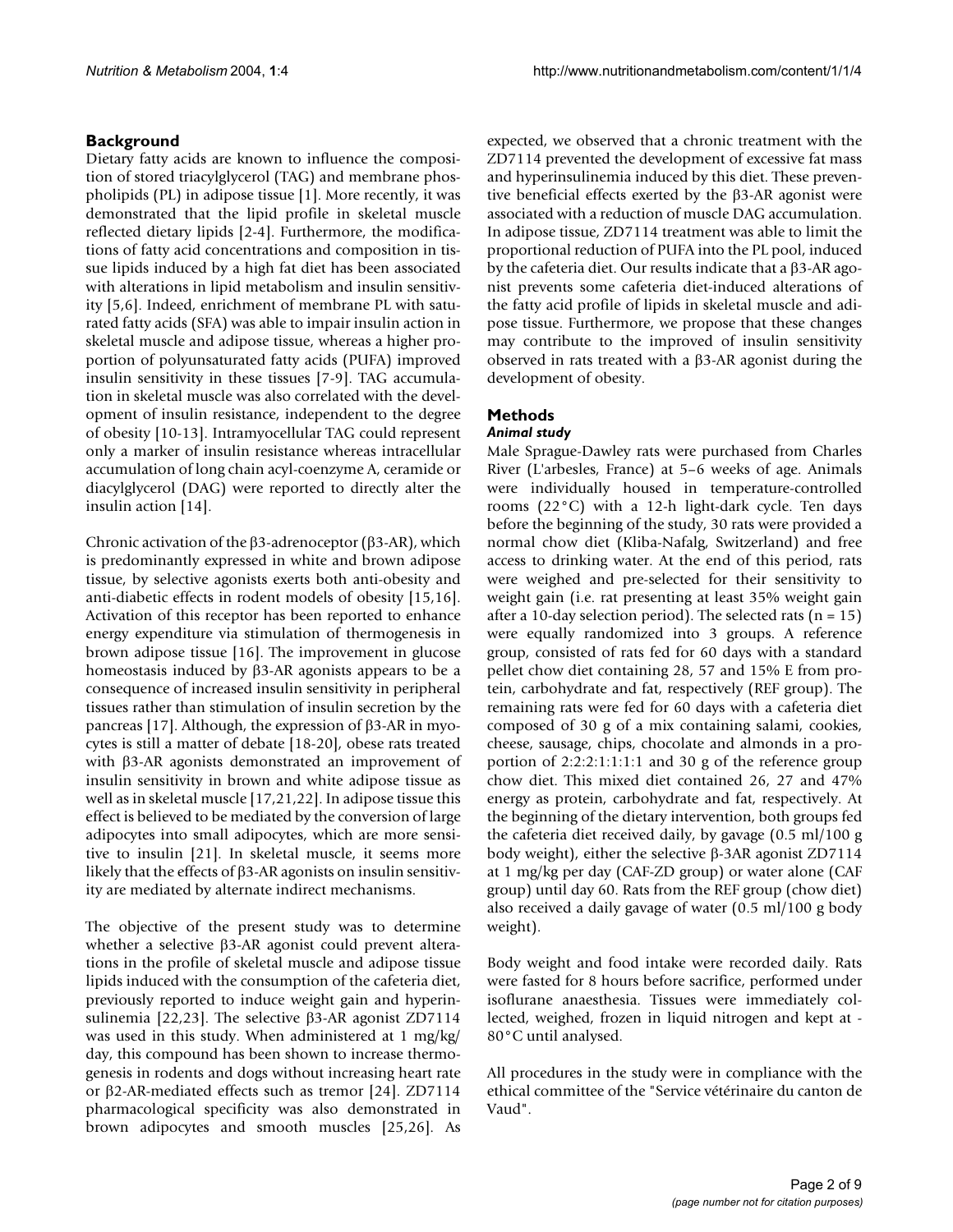### **Background**

Dietary fatty acids are known to influence the composition of stored triacylglycerol (TAG) and membrane phospholipids (PL) in adipose tissue [1]. More recently, it was demonstrated that the lipid profile in skeletal muscle reflected dietary lipids [2-4]. Furthermore, the modifications of fatty acid concentrations and composition in tissue lipids induced by a high fat diet has been associated with alterations in lipid metabolism and insulin sensitivity [5,6]. Indeed, enrichment of membrane PL with saturated fatty acids (SFA) was able to impair insulin action in skeletal muscle and adipose tissue, whereas a higher proportion of polyunsaturated fatty acids (PUFA) improved insulin sensitivity in these tissues [7-9]. TAG accumulation in skeletal muscle was also correlated with the development of insulin resistance, independent to the degree of obesity [10-13]. Intramyocellular TAG could represent only a marker of insulin resistance whereas intracellular accumulation of long chain acyl-coenzyme A, ceramide or diacylglycerol (DAG) were reported to directly alter the insulin action [14].

Chronic activation of the β3-adrenoceptor (β3-AR), which is predominantly expressed in white and brown adipose tissue, by selective agonists exerts both anti-obesity and anti-diabetic effects in rodent models of obesity [15,16]. Activation of this receptor has been reported to enhance energy expenditure via stimulation of thermogenesis in brown adipose tissue [16]. The improvement in glucose homeostasis induced by β3-AR agonists appears to be a consequence of increased insulin sensitivity in peripheral tissues rather than stimulation of insulin secretion by the pancreas [17]. Although, the expression of β3-AR in myocytes is still a matter of debate [18-20], obese rats treated with β3-AR agonists demonstrated an improvement of insulin sensitivity in brown and white adipose tissue as well as in skeletal muscle [17,21,22]. In adipose tissue this effect is believed to be mediated by the conversion of large adipocytes into small adipocytes, which are more sensitive to insulin [21]. In skeletal muscle, it seems more likely that the effects of β3-AR agonists on insulin sensitivity are mediated by alternate indirect mechanisms.

The objective of the present study was to determine whether a selective β3-AR agonist could prevent alterations in the profile of skeletal muscle and adipose tissue lipids induced with the consumption of the cafeteria diet, previously reported to induce weight gain and hyperinsulinemia [22,23]. The selective β3-AR agonist ZD7114 was used in this study. When administered at 1 mg/kg/ day, this compound has been shown to increase thermogenesis in rodents and dogs without increasing heart rate or β2-AR-mediated effects such as tremor [24]. ZD7114 pharmacological specificity was also demonstrated in brown adipocytes and smooth muscles [25,26]. As

expected, we observed that a chronic treatment with the ZD7114 prevented the development of excessive fat mass and hyperinsulinemia induced by this diet. These preventive beneficial effects exerted by the β3-AR agonist were associated with a reduction of muscle DAG accumulation. In adipose tissue, ZD7114 treatment was able to limit the proportional reduction of PUFA into the PL pool, induced by the cafeteria diet. Our results indicate that a β3-AR agonist prevents some cafeteria diet-induced alterations of the fatty acid profile of lipids in skeletal muscle and adipose tissue. Furthermore, we propose that these changes may contribute to the improved of insulin sensitivity observed in rats treated with a β3-AR agonist during the development of obesity.

### **Methods**

### *Animal study*

Male Sprague-Dawley rats were purchased from Charles River (L'arbesles, France) at 5–6 weeks of age. Animals were individually housed in temperature-controlled rooms (22°C) with a 12-h light-dark cycle. Ten days before the beginning of the study, 30 rats were provided a normal chow diet (Kliba-Nafalg, Switzerland) and free access to drinking water. At the end of this period, rats were weighed and pre-selected for their sensitivity to weight gain (i.e. rat presenting at least 35% weight gain after a 10-day selection period). The selected rats  $(n = 15)$ were equally randomized into 3 groups. A reference group, consisted of rats fed for 60 days with a standard pellet chow diet containing 28, 57 and 15% E from protein, carbohydrate and fat, respectively (REF group). The remaining rats were fed for 60 days with a cafeteria diet composed of 30 g of a mix containing salami, cookies, cheese, sausage, chips, chocolate and almonds in a proportion of 2:2:2:1:1:1:1 and 30 g of the reference group chow diet. This mixed diet contained 26, 27 and 47% energy as protein, carbohydrate and fat, respectively. At the beginning of the dietary intervention, both groups fed the cafeteria diet received daily, by gavage (0.5 ml/100 g body weight), either the selective β-3AR agonist ZD7114 at 1 mg/kg per day (CAF-ZD group) or water alone (CAF group) until day 60. Rats from the REF group (chow diet) also received a daily gavage of water (0.5 ml/100 g body weight).

Body weight and food intake were recorded daily. Rats were fasted for 8 hours before sacrifice, performed under isoflurane anaesthesia. Tissues were immediately collected, weighed, frozen in liquid nitrogen and kept at - 80°C until analysed.

All procedures in the study were in compliance with the ethical committee of the "Service vétérinaire du canton de Vaud".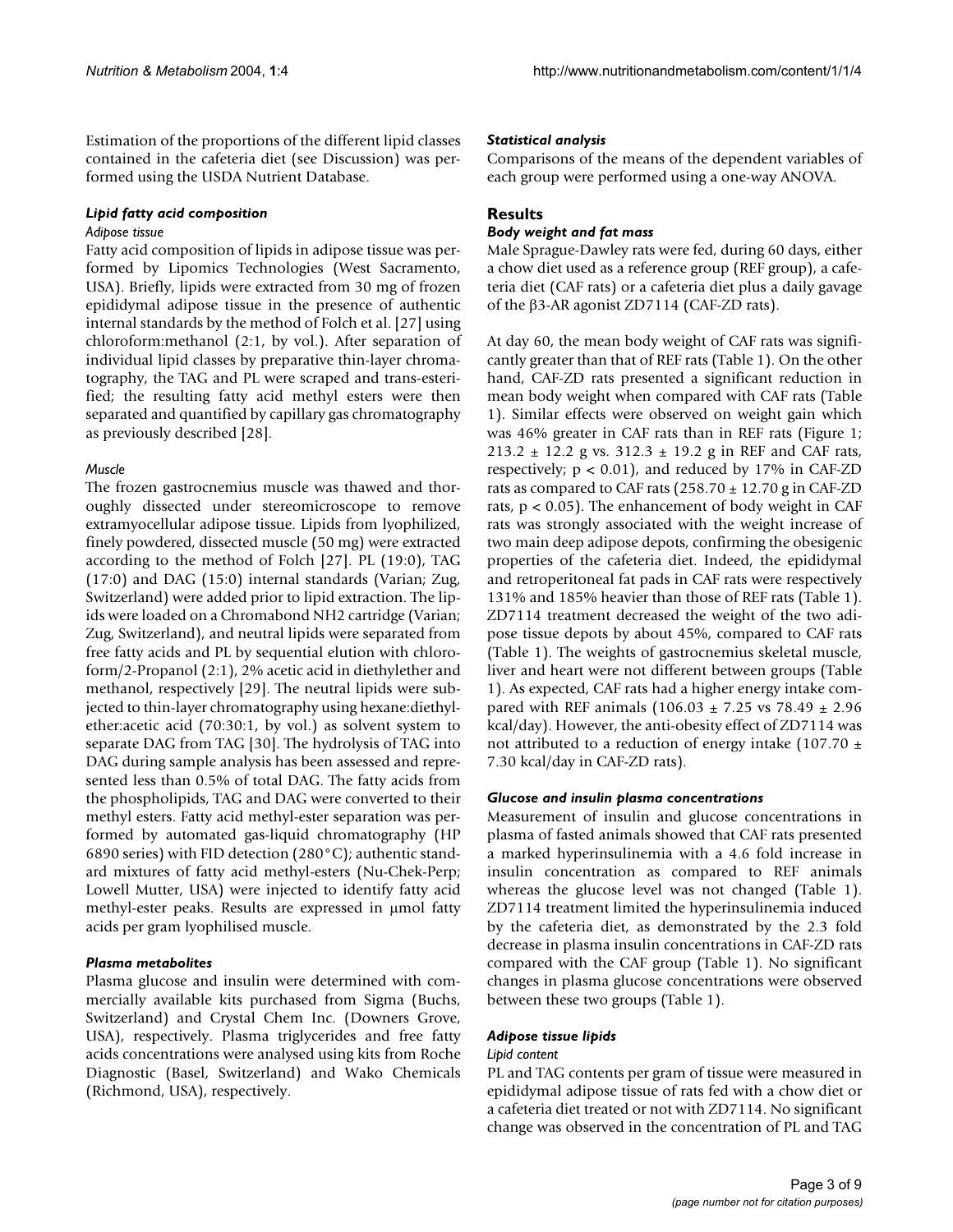Estimation of the proportions of the different lipid classes contained in the cafeteria diet (see Discussion) was performed using the USDA Nutrient Database.

### *Lipid fatty acid composition*

### *Adipose tissue*

Fatty acid composition of lipids in adipose tissue was performed by Lipomics Technologies (West Sacramento, USA). Briefly, lipids were extracted from 30 mg of frozen epididymal adipose tissue in the presence of authentic internal standards by the method of Folch et al. [27] using chloroform:methanol (2:1, by vol.). After separation of individual lipid classes by preparative thin-layer chromatography, the TAG and PL were scraped and trans-esterified; the resulting fatty acid methyl esters were then separated and quantified by capillary gas chromatography as previously described [28].

### *Muscle*

The frozen gastrocnemius muscle was thawed and thoroughly dissected under stereomicroscope to remove extramyocellular adipose tissue. Lipids from lyophilized, finely powdered, dissected muscle (50 mg) were extracted according to the method of Folch [27]. PL (19:0), TAG (17:0) and DAG (15:0) internal standards (Varian; Zug, Switzerland) were added prior to lipid extraction. The lipids were loaded on a Chromabond NH2 cartridge (Varian; Zug, Switzerland), and neutral lipids were separated from free fatty acids and PL by sequential elution with chloroform/2-Propanol (2:1), 2% acetic acid in diethylether and methanol, respectively [29]. The neutral lipids were subjected to thin-layer chromatography using hexane:diethylether:acetic acid (70:30:1, by vol.) as solvent system to separate DAG from TAG [30]. The hydrolysis of TAG into DAG during sample analysis has been assessed and represented less than 0.5% of total DAG. The fatty acids from the phospholipids, TAG and DAG were converted to their methyl esters. Fatty acid methyl-ester separation was performed by automated gas-liquid chromatography (HP 6890 series) with FID detection (280°C); authentic standard mixtures of fatty acid methyl-esters (Nu-Chek-Perp; Lowell Mutter, USA) were injected to identify fatty acid methyl-ester peaks. Results are expressed in µmol fatty acids per gram lyophilised muscle.

### *Plasma metabolites*

Plasma glucose and insulin were determined with commercially available kits purchased from Sigma (Buchs, Switzerland) and Crystal Chem Inc. (Downers Grove, USA), respectively. Plasma triglycerides and free fatty acids concentrations were analysed using kits from Roche Diagnostic (Basel, Switzerland) and Wako Chemicals (Richmond, USA), respectively.

### *Statistical analysis*

Comparisons of the means of the dependent variables of each group were performed using a one-way ANOVA.

### **Results** *Body weight and fat mass*

Male Sprague-Dawley rats were fed, during 60 days, either a chow diet used as a reference group (REF group), a cafeteria diet (CAF rats) or a cafeteria diet plus a daily gavage of the β3-AR agonist ZD7114 (CAF-ZD rats).

At day 60, the mean body weight of CAF rats was significantly greater than that of REF rats (Table [1\)](#page-3-0). On the other hand, CAF-ZD rats presented a significant reduction in mean body weight when compared with CAF rats (Table [1](#page-3-0)). Similar effects were observed on weight gain which was 46% greater in CAF rats than in REF rats (Figure 1; 213.2  $\pm$  12.2 g vs. 312.3  $\pm$  19.2 g in REF and CAF rats, respectively;  $p < 0.01$ ), and reduced by 17% in CAF-ZD rats as compared to CAF rats  $(258.70 \pm 12.70 \text{ g} \text{ in } CAF-ZD)$ rats,  $p < 0.05$ ). The enhancement of body weight in CAF rats was strongly associated with the weight increase of two main deep adipose depots, confirming the obesigenic properties of the cafeteria diet. Indeed, the epididymal and retroperitoneal fat pads in CAF rats were respectively 131% and 185% heavier than those of REF rats (Table [1\)](#page-3-0). ZD7114 treatment decreased the weight of the two adipose tissue depots by about 45%, compared to CAF rats (Table [1](#page-3-0)). The weights of gastrocnemius skeletal muscle, liver and heart were not different between groups (Table [1](#page-3-0)). As expected, CAF rats had a higher energy intake compared with REF animals (106.03  $\pm$  7.25 vs 78.49  $\pm$  2.96 kcal/day). However, the anti-obesity effect of ZD7114 was not attributed to a reduction of energy intake (107.70  $\pm$ 7.30 kcal/day in CAF-ZD rats).

### *Glucose and insulin plasma concentrations*

Measurement of insulin and glucose concentrations in plasma of fasted animals showed that CAF rats presented a marked hyperinsulinemia with a 4.6 fold increase in insulin concentration as compared to REF animals whereas the glucose level was not changed (Table [1\)](#page-3-0). ZD7114 treatment limited the hyperinsulinemia induced by the cafeteria diet, as demonstrated by the 2.3 fold decrease in plasma insulin concentrations in CAF-ZD rats compared with the CAF group (Table [1\)](#page-3-0). No significant changes in plasma glucose concentrations were observed between these two groups (Table [1](#page-3-0)).

### *Adipose tissue lipids*

### *Lipid content*

PL and TAG contents per gram of tissue were measured in epididymal adipose tissue of rats fed with a chow diet or a cafeteria diet treated or not with ZD7114. No significant change was observed in the concentration of PL and TAG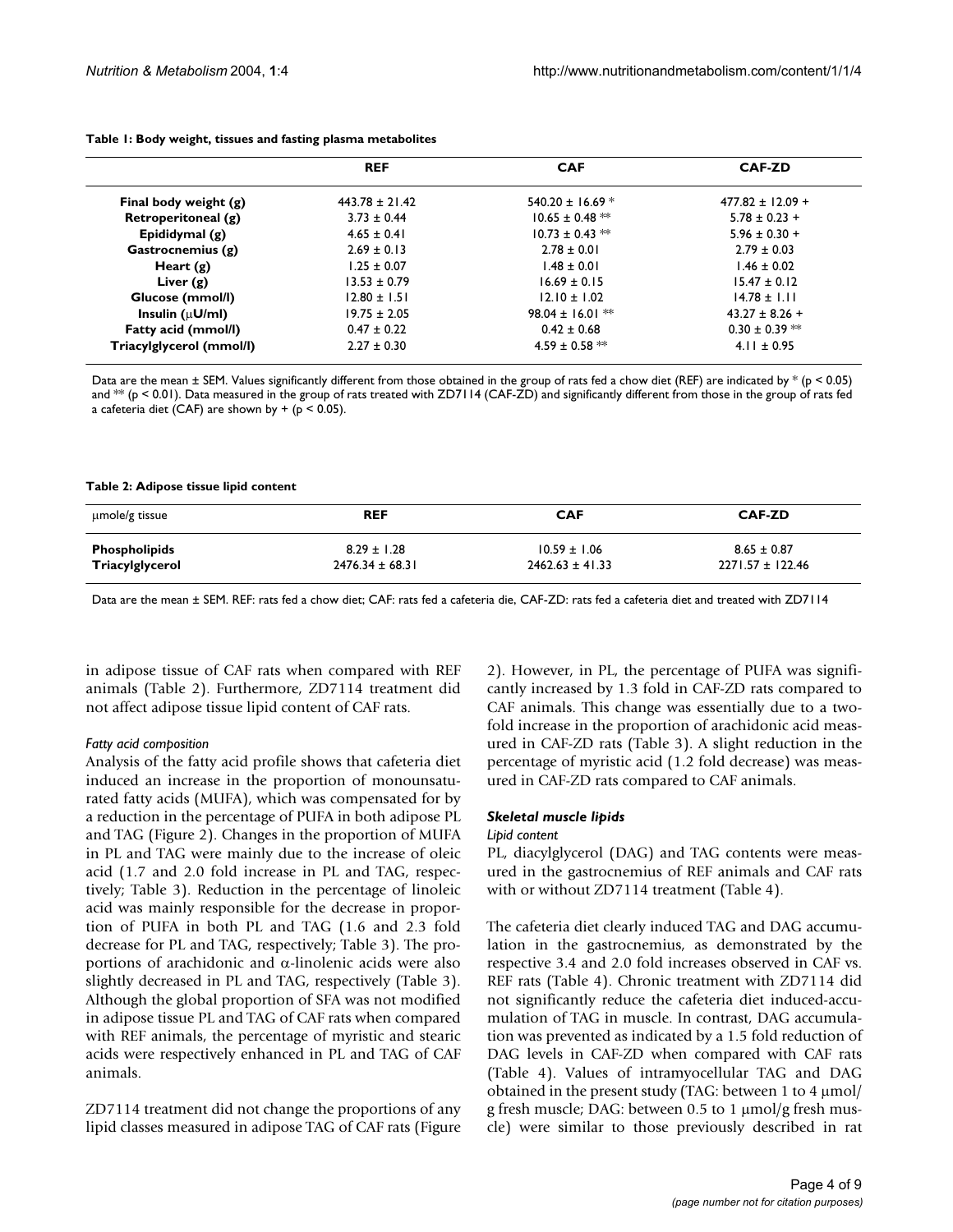|                          | <b>REF</b>         | <b>CAF</b>                     | <b>CAF-ZD</b>        |
|--------------------------|--------------------|--------------------------------|----------------------|
| Final body weight $(g)$  | $443.78 \pm 21.42$ | 540.20 ± 16.69 $*$             | $477.82 \pm 12.09 +$ |
| Retroperitoneal (g)      | $3.73 \pm 0.44$    | $10.65 \pm 0.48$ <sup>**</sup> | $5.78 \pm 0.23 +$    |
| Epididymal (g)           | $4.65 \pm 0.41$    | $10.73 \pm 0.43$ **            | $5.96 \pm 0.30 +$    |
| Gastrocnemius (g)        | $2.69 \pm 0.13$    | $2.78 \pm 0.01$                | $2.79 \pm 0.03$      |
| Heart $(g)$              | $1.25 \pm 0.07$    | $1.48 \pm 0.01$                | $1.46 \pm 0.02$      |
| Liver $(g)$              | $13.53 \pm 0.79$   | $16.69 \pm 0.15$               | $15.47 \pm 0.12$     |
| Glucose (mmol/l)         | $12.80 \pm 1.51$   | $12.10 \pm 1.02$               | $14.78 \pm 1.11$     |
| Insulin ( $\mu$ U/ml)    | $19.75 \pm 2.05$   | 98.04 ± 16.01 $**$             | $43.27 \pm 8.26 +$   |
| Fatty acid (mmol/l)      | $0.47 \pm 0.22$    | $0.42 \pm 0.68$                | $0.30 \pm 0.39$ **   |
| Triacylglycerol (mmol/l) | $2.27 \pm 0.30$    | 4.59 ± 0.58 $**$               | $4.11 \pm 0.95$      |

#### <span id="page-3-0"></span>**Table 1: Body weight, tissues and fasting plasma metabolites**

Data are the mean  $\pm$  SEM. Values significantly different from those obtained in the group of rats fed a chow diet (REF) are indicated by  $*(p < 0.05)$ and \*\* (p < 0.01). Data measured in the group of rats treated with ZD7114 (CAF-ZD) and significantly different from those in the group of rats fed a cafeteria diet (CAF) are shown by  $+$  ( $p < 0.05$ ).

#### <span id="page-3-1"></span>**Table 2: Adipose tissue lipid content**

| umole/g tissue       | <b>REF</b>          | <b>CAF</b>          | <b>CAF-ZD</b>    |
|----------------------|---------------------|---------------------|------------------|
| <b>Phospholipids</b> | $8.29 \pm 1.28$     | $10.59 \pm 1.06$    | $8.65 \pm 0.87$  |
| Triacylglycerol      | $2476.34 \pm 68.31$ | $2462.63 \pm 41.33$ | 2271.57 ± 122.46 |

Data are the mean ± SEM. REF: rats fed a chow diet; CAF: rats fed a cafeteria die, CAF-ZD: rats fed a cafeteria diet and treated with ZD7114

in adipose tissue of CAF rats when compared with REF animals (Table [2\)](#page-3-1). Furthermore, ZD7114 treatment did not affect adipose tissue lipid content of CAF rats.

### *Fatty acid composition*

Analysis of the fatty acid profile shows that cafeteria diet induced an increase in the proportion of monounsaturated fatty acids (MUFA), which was compensated for by a reduction in the percentage of PUFA in both adipose PL and TAG (Figure 2). Changes in the proportion of MUFA in PL and TAG were mainly due to the increase of oleic acid (1.7 and 2.0 fold increase in PL and TAG, respectively; Table [3](#page-6-0)). Reduction in the percentage of linoleic acid was mainly responsible for the decrease in proportion of PUFA in both PL and TAG (1.6 and 2.3 fold decrease for PL and TAG, respectively; Table [3](#page-6-0)). The proportions of arachidonic and α-linolenic acids were also slightly decreased in PL and TAG, respectively (Table [3\)](#page-6-0). Although the global proportion of SFA was not modified in adipose tissue PL and TAG of CAF rats when compared with REF animals, the percentage of myristic and stearic acids were respectively enhanced in PL and TAG of CAF animals.

ZD7114 treatment did not change the proportions of any lipid classes measured in adipose TAG of CAF rats (Figure 2). However, in PL, the percentage of PUFA was significantly increased by 1.3 fold in CAF-ZD rats compared to CAF animals. This change was essentially due to a twofold increase in the proportion of arachidonic acid measured in CAF-ZD rats (Table [3\)](#page-6-0). A slight reduction in the percentage of myristic acid (1.2 fold decrease) was measured in CAF-ZD rats compared to CAF animals.

#### *Skeletal muscle lipids*

### *Lipid content*

PL, diacylglycerol (DAG) and TAG contents were measured in the gastrocnemius of REF animals and CAF rats with or without ZD711[4](#page-6-1) treatment (Table 4).

The cafeteria diet clearly induced TAG and DAG accumulation in the gastrocnemius, as demonstrated by the respective 3.4 and 2.0 fold increases observed in CAF vs. REF rats (Table [4\)](#page-6-1). Chronic treatment with ZD7114 did not significantly reduce the cafeteria diet induced-accumulation of TAG in muscle. In contrast, DAG accumulation was prevented as indicated by a 1.5 fold reduction of DAG levels in CAF-ZD when compared with CAF rats (Table [4](#page-6-1)). Values of intramyocellular TAG and DAG obtained in the present study (TAG: between 1 to 4 µmol/ g fresh muscle; DAG: between 0.5 to 1 µmol/g fresh muscle) were similar to those previously described in rat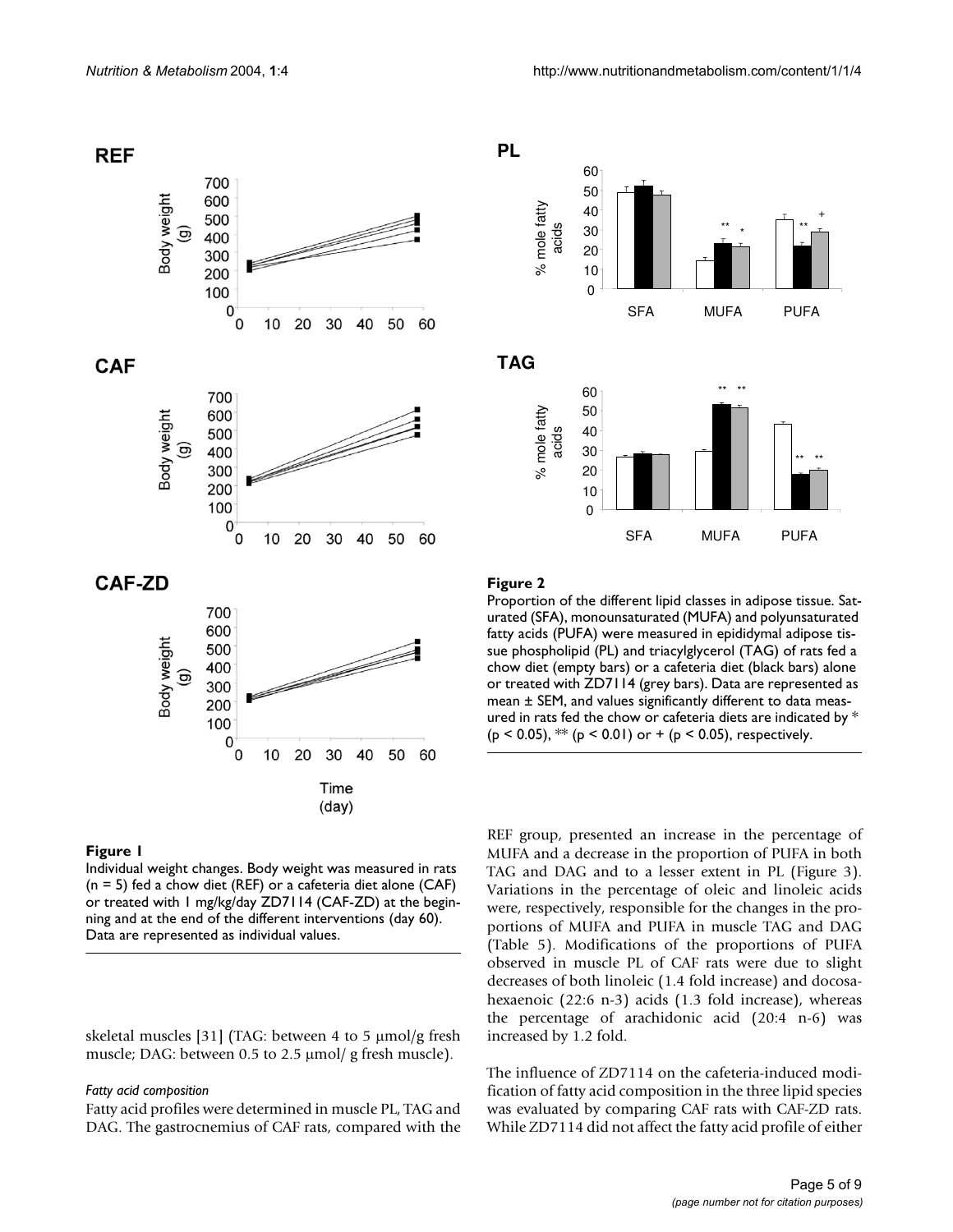

### **Figure 1**

Individual weight changes. Body weight was measured in rats (n = 5) fed a chow diet (REF) or a cafeteria diet alone (CAF) or treated with 1 mg/kg/day ZD7114 (CAF-ZD) at the beginning and at the end of the different interventions (day 60). Data are represented as individual values.

skeletal muscles [31] (TAG: between 4 to 5 µmol/g fresh muscle; DAG: between 0.5 to 2.5  $\mu$ mol/g fresh muscle).

#### *Fatty acid composition*

Fatty acid profiles were determined in muscle PL, TAG and DAG. The gastrocnemius of CAF rats, compared with the



**TAG**



### **Figure 2**

Proportion of the different lipid classes in adipose tissue. Saturated (SFA), monounsaturated (MUFA) and polyunsaturated fatty acids (PUFA) were measured in epididymal adipose tissue phospholipid (PL) and triacylglycerol (TAG) of rats fed a chow diet (empty bars) or a cafeteria diet (black bars) alone or treated with ZD7114 (grey bars). Data are represented as mean ± SEM, and values significantly different to data measured in rats fed the chow or cafeteria diets are indicated by \* ( $p$  < 0.05), \*\* ( $p$  < 0.01) or + ( $p$  < 0.05), respectively.

REF group, presented an increase in the percentage of MUFA and a decrease in the proportion of PUFA in both TAG and DAG and to a lesser extent in PL (Figure 3). Variations in the percentage of oleic and linoleic acids were, respectively, responsible for the changes in the proportions of MUFA and PUFA in muscle TAG and DAG (Table [5\)](#page-7-0). Modifications of the proportions of PUFA observed in muscle PL of CAF rats were due to slight decreases of both linoleic (1.4 fold increase) and docosahexaenoic (22:6 n-3) acids (1.3 fold increase), whereas the percentage of arachidonic acid (20:4 n-6) was increased by 1.2 fold.

The influence of ZD7114 on the cafeteria-induced modification of fatty acid composition in the three lipid species was evaluated by comparing CAF rats with CAF-ZD rats. While ZD7114 did not affect the fatty acid profile of either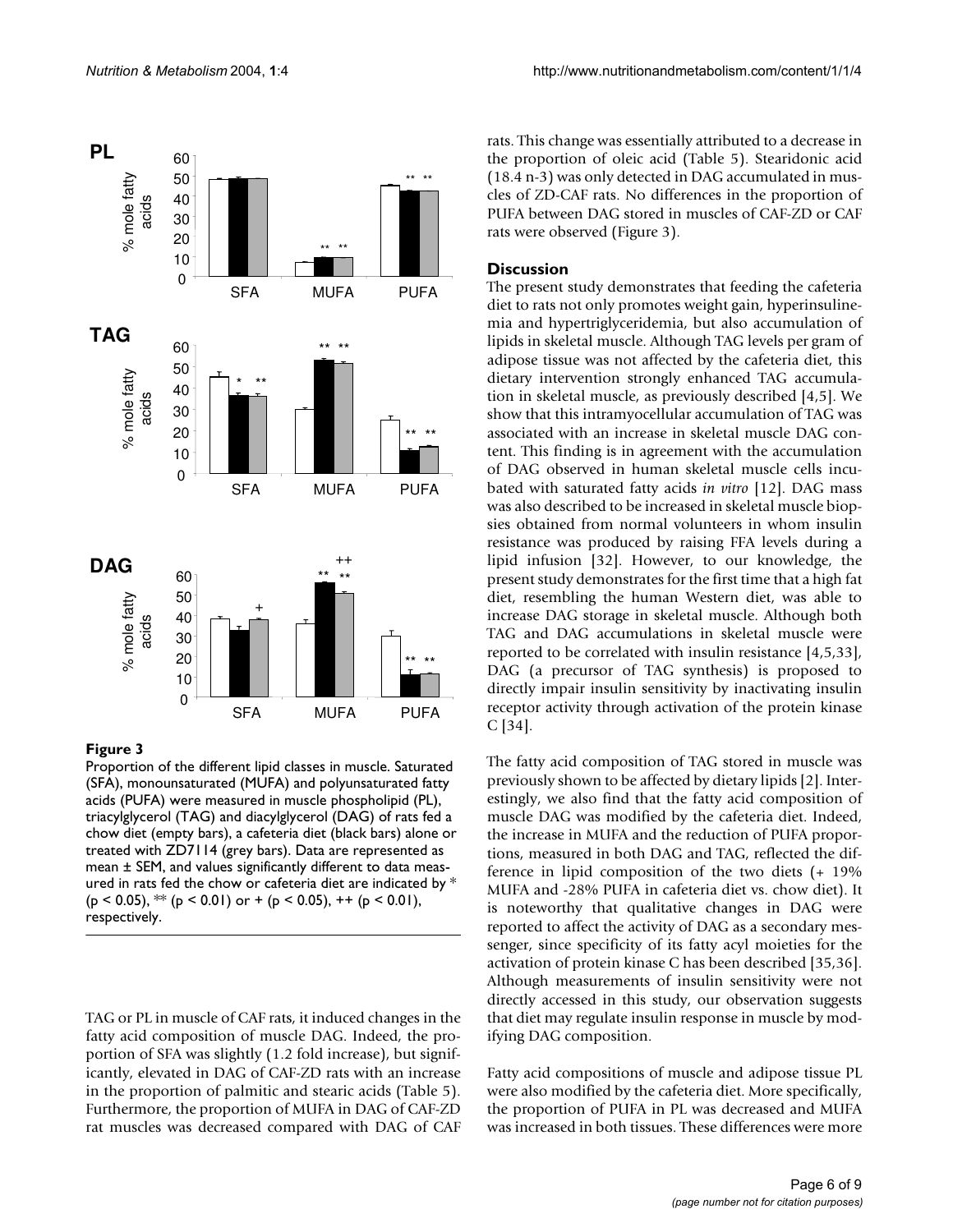

### **Figure 3**

Proportion of the different lipid classes in muscle. Saturated (SFA), monounsaturated (MUFA) and polyunsaturated fatty acids (PUFA) were measured in muscle phospholipid (PL), triacylglycerol (TAG) and diacylglycerol (DAG) of rats fed a chow diet (empty bars), a cafeteria diet (black bars) alone or treated with ZD7114 (grey bars). Data are represented as mean ± SEM, and values significantly different to data measured in rats fed the chow or cafeteria diet are indicated by \*  $(p < 0.05)$ , \*\*  $(p < 0.01)$  or +  $(p < 0.05)$ , ++  $(p < 0.01)$ , respectively.

TAG or PL in muscle of CAF rats, it induced changes in the fatty acid composition of muscle DAG. Indeed, the proportion of SFA was slightly (1.2 fold increase), but significantly, elevated in DAG of CAF-ZD rats with an increase in the proportion of palmitic and stearic acids (Table [5\)](#page-7-0). Furthermore, the proportion of MUFA in DAG of CAF-ZD rat muscles was decreased compared with DAG of CAF rats. This change was essentially attributed to a decrease in the proportion of oleic acid (Table [5\)](#page-7-0). Stearidonic acid (18.4 n-3) was only detected in DAG accumulated in muscles of ZD-CAF rats. No differences in the proportion of PUFA between DAG stored in muscles of CAF-ZD or CAF rats were observed (Figure 3).

### **Discussion**

The present study demonstrates that feeding the cafeteria diet to rats not only promotes weight gain, hyperinsulinemia and hypertriglyceridemia, but also accumulation of lipids in skeletal muscle. Although TAG levels per gram of adipose tissue was not affected by the cafeteria diet, this dietary intervention strongly enhanced TAG accumulation in skeletal muscle, as previously described [4,5]. We show that this intramyocellular accumulation of TAG was associated with an increase in skeletal muscle DAG content. This finding is in agreement with the accumulation of DAG observed in human skeletal muscle cells incubated with saturated fatty acids *in vitro* [12]. DAG mass was also described to be increased in skeletal muscle biopsies obtained from normal volunteers in whom insulin resistance was produced by raising FFA levels during a lipid infusion [32]. However, to our knowledge, the present study demonstrates for the first time that a high fat diet, resembling the human Western diet, was able to increase DAG storage in skeletal muscle. Although both TAG and DAG accumulations in skeletal muscle were reported to be correlated with insulin resistance [4,5,33], DAG (a precursor of TAG synthesis) is proposed to directly impair insulin sensitivity by inactivating insulin receptor activity through activation of the protein kinase C [34].

The fatty acid composition of TAG stored in muscle was previously shown to be affected by dietary lipids [2]. Interestingly, we also find that the fatty acid composition of muscle DAG was modified by the cafeteria diet. Indeed, the increase in MUFA and the reduction of PUFA proportions, measured in both DAG and TAG, reflected the difference in lipid composition of the two diets (+ 19% MUFA and -28% PUFA in cafeteria diet vs. chow diet). It is noteworthy that qualitative changes in DAG were reported to affect the activity of DAG as a secondary messenger, since specificity of its fatty acyl moieties for the activation of protein kinase C has been described [35,36]. Although measurements of insulin sensitivity were not directly accessed in this study, our observation suggests that diet may regulate insulin response in muscle by modifying DAG composition.

Fatty acid compositions of muscle and adipose tissue PL were also modified by the cafeteria diet. More specifically, the proportion of PUFA in PL was decreased and MUFA was increased in both tissues. These differences were more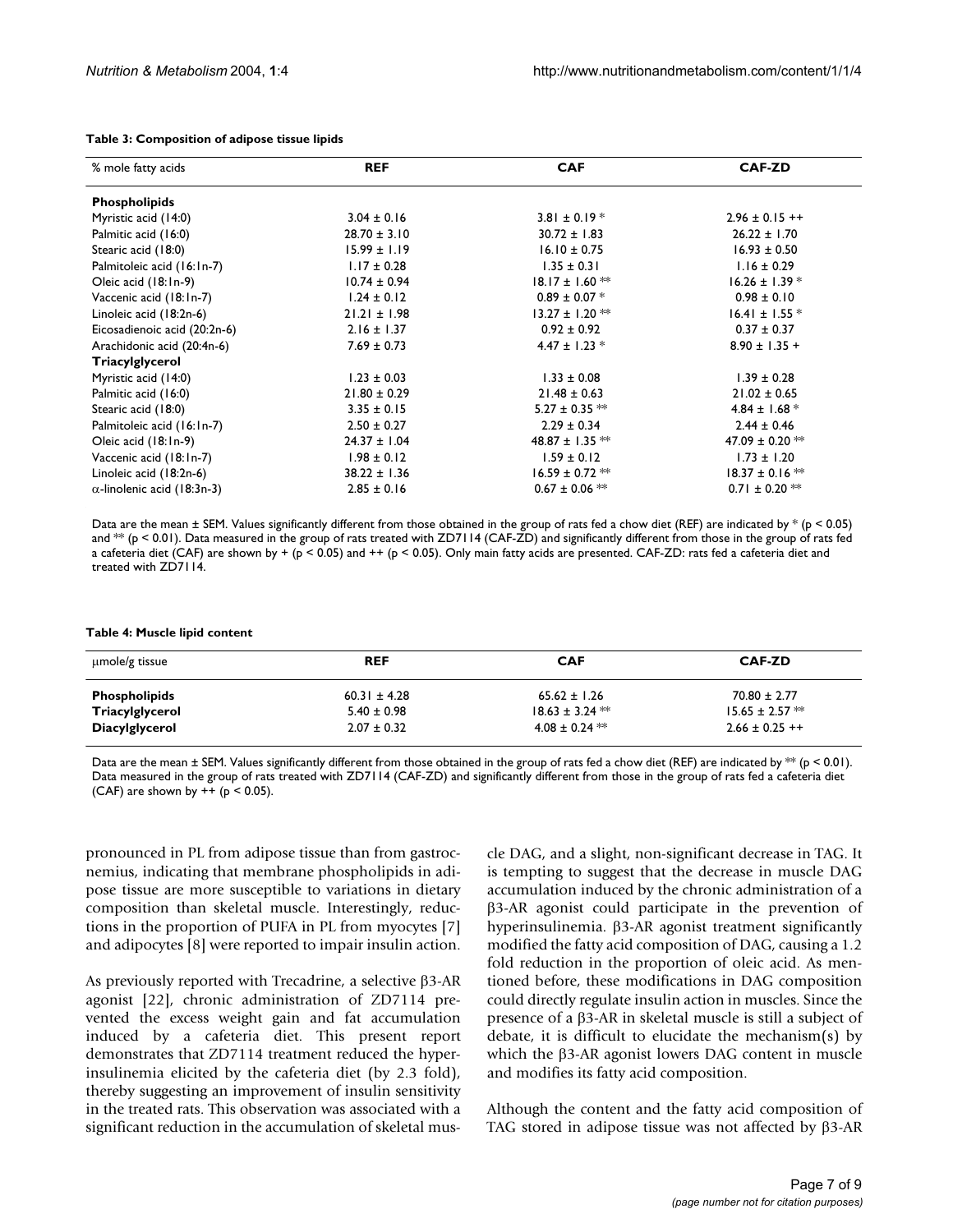| % mole fatty acids                 | <b>REF</b>       | <b>CAF</b>          | <b>CAF-ZD</b>       |
|------------------------------------|------------------|---------------------|---------------------|
| <b>Phospholipids</b>               |                  |                     |                     |
| Myristic acid (14:0)               | $3.04 \pm 0.16$  | $3.81 \pm 0.19$ *   | $2.96 \pm 0.15$ ++  |
| Palmitic acid (16:0)               | $28.70 \pm 3.10$ | $30.72 \pm 1.83$    | $26.22 \pm 1.70$    |
| Stearic acid (18:0)                | $15.99 \pm 1.19$ | $16.10 \pm 0.75$    | $16.93 \pm 0.50$    |
| Palmitoleic acid (16:1n-7)         | $1.17 \pm 0.28$  | $1.35 \pm 0.31$     | $1.16 \pm 0.29$     |
| Oleic acid (18:1n-9)               | $10.74 \pm 0.94$ | $18.17 \pm 1.60$ ** | $16.26 \pm 1.39$ *  |
| Vaccenic acid (18:1n-7)            | $1.24 \pm 0.12$  | $0.89 \pm 0.07$ *   | $0.98 \pm 0.10$     |
| Linoleic acid (18:2n-6)            | $21.21 \pm 1.98$ | $13.27 \pm 1.20$ ** | $16.41 \pm 1.55$ *  |
| Eicosadienoic acid (20:2n-6)       | $2.16 \pm 1.37$  | $0.92 \pm 0.92$     | $0.37 \pm 0.37$     |
| Arachidonic acid (20:4n-6)         | $7.69 \pm 0.73$  | $4.47 \pm 1.23$ *   | $8.90 \pm 1.35 +$   |
| Triacylglycerol                    |                  |                     |                     |
| Myristic acid (14:0)               | $1.23 \pm 0.03$  | $1.33 \pm 0.08$     | $1.39 \pm 0.28$     |
| Palmitic acid (16:0)               | $21.80 \pm 0.29$ | $21.48 \pm 0.63$    | $21.02 \pm 0.65$    |
| Stearic acid (18:0)                | $3.35 \pm 0.15$  | $5.27 \pm 0.35$ **  | 4.84 ± 1.68 $*$     |
| Palmitoleic acid (16:1n-7)         | $2.50 \pm 0.27$  | $2.29 \pm 0.34$     | $2.44 \pm 0.46$     |
| Oleic acid (18:1n-9)               | $24.37 \pm 1.04$ | 48.87 ± 1.35 $**$   | 47.09 ± 0.20 $**$   |
| Vaccenic acid (18:1n-7)            | $1.98 \pm 0.12$  | $1.59 \pm 0.12$     | $1.73 \pm 1.20$     |
| Linoleic acid (18:2n-6)            | $38.22 \pm 1.36$ | $16.59 \pm 0.72$ ** | $18.37 \pm 0.16$ ** |
| $\alpha$ -linolenic acid (18:3n-3) | $2.85 \pm 0.16$  | $0.67 \pm 0.06$ **  | $0.71 \pm 0.20$ **  |

#### <span id="page-6-0"></span>**Table 3: Composition of adipose tissue lipids**

Data are the mean  $\pm$  SEM. Values significantly different from those obtained in the group of rats fed a chow diet (REF) are indicated by  $*(p < 0.05)$ and \*\* (p < 0.01). Data measured in the group of rats treated with ZD7114 (CAF-ZD) and significantly different from those in the group of rats fed a cafeteria diet (CAF) are shown by + (p < 0.05) and ++ (p < 0.05). Only main fatty acids are presented. CAF-ZD: rats fed a cafeteria diet and treated with ZD7114.

<span id="page-6-1"></span>**Table 4: Muscle lipid content**

| umole/g tissue        | <b>REF</b>       | <b>CAF</b>          | <b>CAF-ZD</b>       |
|-----------------------|------------------|---------------------|---------------------|
| <b>Phospholipids</b>  | $60.31 \pm 4.28$ | $65.62 \pm 1.26$    | $70.80 \pm 2.77$    |
| Triacylglycerol       | $5.40 \pm 0.98$  | $18.63 \pm 3.24$ ** | $15.65 \pm 2.57$ ** |
| <b>Diacylglycerol</b> | $2.07 \pm 0.32$  | $4.08 \pm 0.24$ **  | $2.66 \pm 0.25$ ++  |

Data are the mean  $\pm$  SEM. Values significantly different from those obtained in the group of rats fed a chow diet (REF) are indicated by  $**$  (p < 0.01). Data measured in the group of rats treated with ZD7114 (CAF-ZD) and significantly different from those in the group of rats fed a cafeteria diet (CAF) are shown by  $++$  ( $p < 0.05$ ).

pronounced in PL from adipose tissue than from gastrocnemius, indicating that membrane phospholipids in adipose tissue are more susceptible to variations in dietary composition than skeletal muscle. Interestingly, reductions in the proportion of PUFA in PL from myocytes [7] and adipocytes [8] were reported to impair insulin action.

As previously reported with Trecadrine, a selective β3-AR agonist [22], chronic administration of ZD7114 prevented the excess weight gain and fat accumulation induced by a cafeteria diet. This present report demonstrates that ZD7114 treatment reduced the hyperinsulinemia elicited by the cafeteria diet (by 2.3 fold), thereby suggesting an improvement of insulin sensitivity in the treated rats. This observation was associated with a significant reduction in the accumulation of skeletal muscle DAG, and a slight, non-significant decrease in TAG. It is tempting to suggest that the decrease in muscle DAG accumulation induced by the chronic administration of a β3-AR agonist could participate in the prevention of hyperinsulinemia. β3-AR agonist treatment significantly modified the fatty acid composition of DAG, causing a 1.2 fold reduction in the proportion of oleic acid. As mentioned before, these modifications in DAG composition could directly regulate insulin action in muscles. Since the presence of a β3-AR in skeletal muscle is still a subject of debate, it is difficult to elucidate the mechanism(s) by which the β3-AR agonist lowers DAG content in muscle and modifies its fatty acid composition.

Although the content and the fatty acid composition of TAG stored in adipose tissue was not affected by β3-AR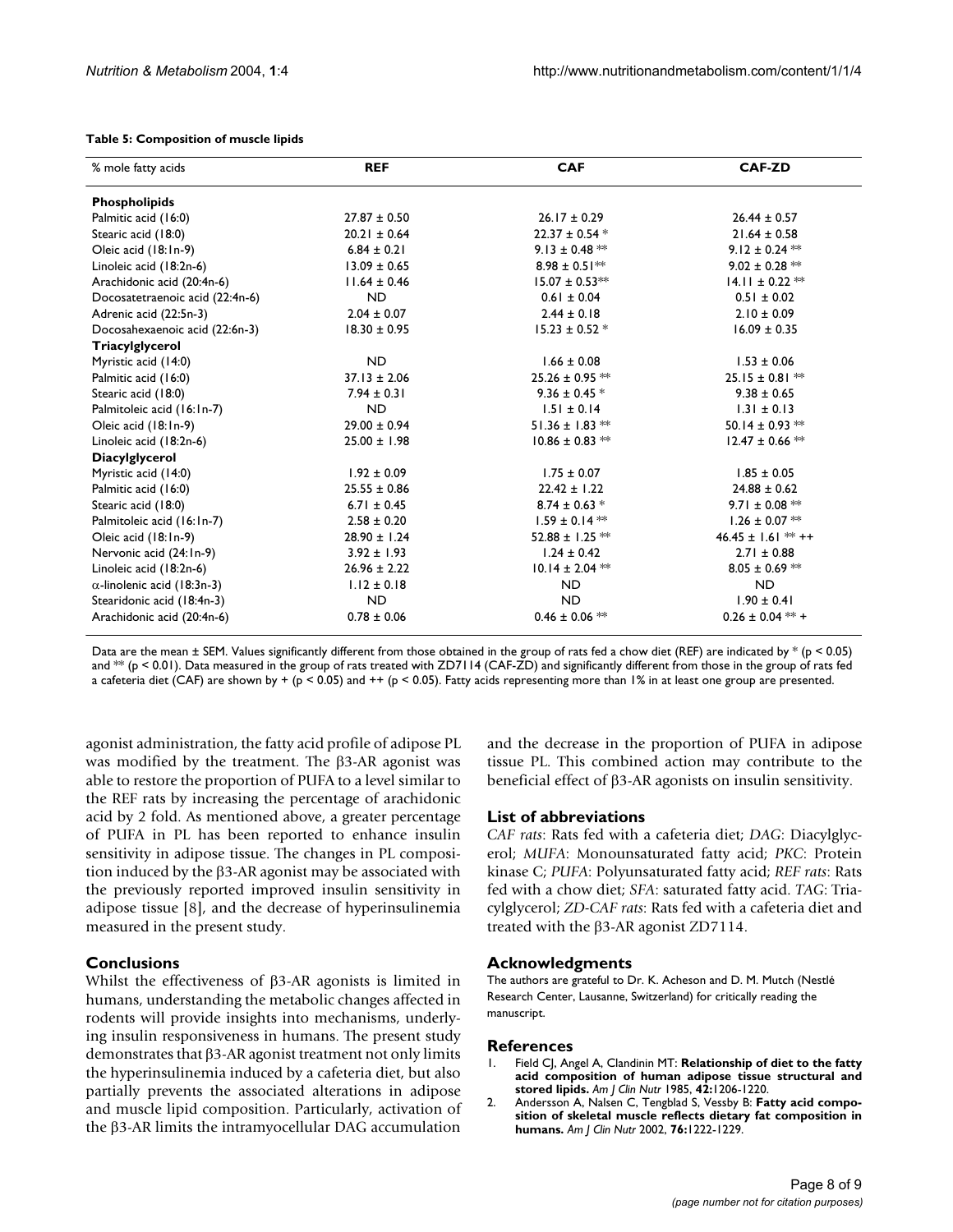<span id="page-7-0"></span>

|  | Table 5: Composition of muscle lipids |  |  |  |
|--|---------------------------------------|--|--|--|
|--|---------------------------------------|--|--|--|

| % mole fatty acids                 | <b>REF</b>       | <b>CAF</b>          | <b>CAF-ZD</b>        |
|------------------------------------|------------------|---------------------|----------------------|
| <b>Phospholipids</b>               |                  |                     |                      |
| Palmitic acid (16:0)               | $27.87 \pm 0.50$ | $26.17 \pm 0.29$    | $26.44 \pm 0.57$     |
| Stearic acid (18:0)                | $20.21 \pm 0.64$ | $22.37 \pm 0.54$ *  | $21.64 \pm 0.58$     |
| Oleic acid (18:1n-9)               | $6.84 \pm 0.21$  | $9.13 \pm 0.48$ **  | $9.12 \pm 0.24$ **   |
| Linoleic acid (18:2n-6)            | $13.09 \pm 0.65$ | $8.98 \pm 0.51***$  | $9.02 \pm 0.28$ **   |
| Arachidonic acid (20:4n-6)         | $11.64 \pm 0.46$ | $15.07 \pm 0.53***$ | $14.11 \pm 0.22$ **  |
| Docosatetraenoic acid (22:4n-6)    | <b>ND</b>        | $0.61 \pm 0.04$     | $0.51 \pm 0.02$      |
| Adrenic acid (22:5n-3)             | $2.04 \pm 0.07$  | $2.44 \pm 0.18$     | $2.10 \pm 0.09$      |
| Docosahexaenoic acid (22:6n-3)     | $18.30 \pm 0.95$ | $15.23 \pm 0.52$ *  | $16.09 \pm 0.35$     |
| Triacylglycerol                    |                  |                     |                      |
| Myristic acid (14:0)               | <b>ND</b>        | $1.66 \pm 0.08$     | $1.53 \pm 0.06$      |
| Palmitic acid (16:0)               | $37.13 \pm 2.06$ | $25.26 \pm 0.95$ ** | $25.15 \pm 0.81$ **  |
| Stearic acid (18:0)                | $7.94 \pm 0.31$  | $9.36 \pm 0.45$ *   | $9.38 \pm 0.65$      |
| Palmitoleic acid (16:1n-7)         | <b>ND</b>        | $1.51 \pm 0.14$     | $1.31 \pm 0.13$      |
| Oleic acid (18:1n-9)               | $29.00 \pm 0.94$ | 51.36 ± 1.83 $**$   | 50.14 ± 0.93 $**$    |
| Linoleic acid (18:2n-6)            | $25.00 \pm 1.98$ | $10.86 \pm 0.83$ ** | $12.47 \pm 0.66$ **  |
| <b>Diacylglycerol</b>              |                  |                     |                      |
| Myristic acid (14:0)               | $1.92 \pm 0.09$  | $1.75 \pm 0.07$     | $1.85 \pm 0.05$      |
| Palmitic acid (16:0)               | $25.55 \pm 0.86$ | $22.42 \pm 1.22$    | $24.88 \pm 0.62$     |
| Stearic acid (18:0)                | $6.71 \pm 0.45$  | $8.74 \pm 0.63$ *   | 9.71 ± 0.08 $**$     |
| Palmitoleic acid (16:1n-7)         | $2.58 \pm 0.20$  | $1.59 \pm 0.14$ **  | $1.26 \pm 0.07$ **   |
| Oleic acid (18:1n-9)               | $28.90 \pm 1.24$ | 52.88 ± 1.25 $**$   | 46.45 ± $1.61$ ** ++ |
| Nervonic acid (24:1n-9)            | $3.92 \pm 1.93$  | $1.24 \pm 0.42$     | $2.71 \pm 0.88$      |
| Linoleic acid (18:2n-6)            | $26.96 \pm 2.22$ | $10.14 \pm 2.04$ ** | $8.05 \pm 0.69$ **   |
| $\alpha$ -linolenic acid (18:3n-3) | $1.12 \pm 0.18$  | <b>ND</b>           | ND.                  |
| Stearidonic acid (18:4n-3)         | <b>ND</b>        | <b>ND</b>           | $1.90 \pm 0.41$      |
| Arachidonic acid (20:4n-6)         | $0.78 \pm 0.06$  | $0.46 \pm 0.06$ **  | $0.26 \pm 0.04$ ** + |

Data are the mean  $\pm$  SEM. Values significantly different from those obtained in the group of rats fed a chow diet (REF) are indicated by  $*(p < 0.05)$ and  $**$  (p < 0.01). Data measured in the group of rats treated with ZD7114 (CAF-ZD) and significantly different from those in the group of rats fed a cafeteria diet (CAF) are shown by + (p < 0.05) and ++ (p < 0.05). Fatty acids representing more than 1% in at least one group are presented.

agonist administration, the fatty acid profile of adipose PL was modified by the treatment. The β3-AR agonist was able to restore the proportion of PUFA to a level similar to the REF rats by increasing the percentage of arachidonic acid by 2 fold. As mentioned above, a greater percentage of PUFA in PL has been reported to enhance insulin sensitivity in adipose tissue. The changes in PL composition induced by the β3-AR agonist may be associated with the previously reported improved insulin sensitivity in adipose tissue [8], and the decrease of hyperinsulinemia measured in the present study.

### **Conclusions**

Whilst the effectiveness of β3-AR agonists is limited in humans, understanding the metabolic changes affected in rodents will provide insights into mechanisms, underlying insulin responsiveness in humans. The present study demonstrates that β3-AR agonist treatment not only limits the hyperinsulinemia induced by a cafeteria diet, but also partially prevents the associated alterations in adipose and muscle lipid composition. Particularly, activation of the β3-AR limits the intramyocellular DAG accumulation

and the decrease in the proportion of PUFA in adipose tissue PL. This combined action may contribute to the beneficial effect of β3-AR agonists on insulin sensitivity.

### **List of abbreviations**

*CAF rats*: Rats fed with a cafeteria diet; *DAG*: Diacylglycerol; *MUFA*: Monounsaturated fatty acid; *PKC*: Protein kinase C; *PUFA*: Polyunsaturated fatty acid; *REF rats*: Rats fed with a chow diet; *SFA*: saturated fatty acid. *TAG*: Triacylglycerol; *ZD-CAF rats*: Rats fed with a cafeteria diet and treated with the β3-AR agonist ZD7114.

### **Acknowledgments**

The authors are grateful to Dr. K. Acheson and D. M. Mutch (Nestlé Research Center, Lausanne, Switzerland) for critically reading the manuscript.

### **References**

- 1. Field CJ, Angel A, Clandinin MT: **[Relationship of diet to the fatty](http://www.ncbi.nlm.nih.gov/entrez/query.fcgi?cmd=Retrieve&db=PubMed&dopt=Abstract&list_uids=4072956) [acid composition of human adipose tissue structural and](http://www.ncbi.nlm.nih.gov/entrez/query.fcgi?cmd=Retrieve&db=PubMed&dopt=Abstract&list_uids=4072956) [stored lipids.](http://www.ncbi.nlm.nih.gov/entrez/query.fcgi?cmd=Retrieve&db=PubMed&dopt=Abstract&list_uids=4072956)** *Am J Clin Nutr* 1985, **42:**1206-1220.
- 2. Andersson A, Nalsen C, Tengblad S, Vessby B: **[Fatty acid compo](http://www.ncbi.nlm.nih.gov/entrez/query.fcgi?cmd=Retrieve&db=PubMed&dopt=Abstract&list_uids=12450886)[sition of skeletal muscle reflects dietary fat composition in](http://www.ncbi.nlm.nih.gov/entrez/query.fcgi?cmd=Retrieve&db=PubMed&dopt=Abstract&list_uids=12450886) [humans.](http://www.ncbi.nlm.nih.gov/entrez/query.fcgi?cmd=Retrieve&db=PubMed&dopt=Abstract&list_uids=12450886)** *Am J Clin Nutr* 2002, **76:**1222-1229.